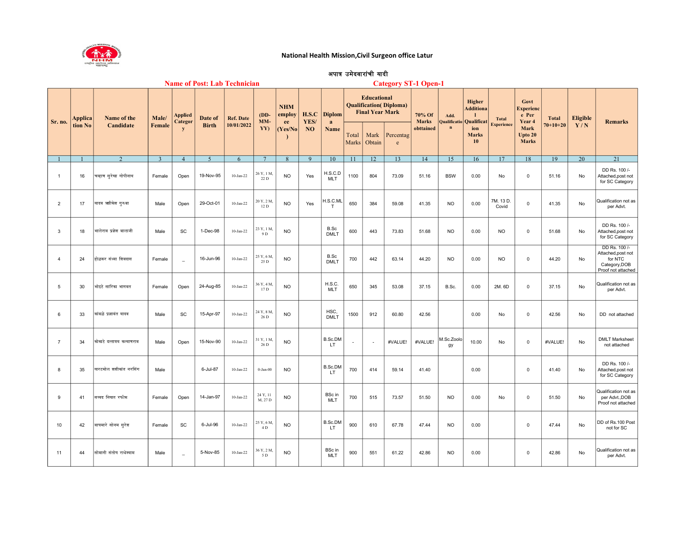

## National Health Mission,Civil Surgeon office Latur

## अपात्र उमेदवारांची यादी

| <b>Name of Post: Lab Technician</b> |         |                            |               |                           |                          |                  |                     |                            |               |                             |                          | <b>Category ST-1 Open-1</b>                  |                                |                        |                                     |                                                                       |                                   |                                                                                |                                |                        |                                                                                       |  |
|-------------------------------------|---------|----------------------------|---------------|---------------------------|--------------------------|------------------|---------------------|----------------------------|---------------|-----------------------------|--------------------------|----------------------------------------------|--------------------------------|------------------------|-------------------------------------|-----------------------------------------------------------------------|-----------------------------------|--------------------------------------------------------------------------------|--------------------------------|------------------------|---------------------------------------------------------------------------------------|--|
| Sr. no.                             | Applica | Name of the<br>Candidate   | Male/         | <b>Applied</b><br>Categor | Date of                  | <b>Ref. Date</b> | $(DD-$<br>MM-       | <b>NHM</b><br>employ<br>ee | H.S.C<br>YES/ | <b>Diplom</b><br>a          |                          | <b>Educational</b><br><b>Final Year Mark</b> | <b>Qualification</b> (Diploma) | 70% Of<br><b>Marks</b> | Add.<br>Qualificatio<br>$\mathbf n$ | Higher<br><b>Additiona</b><br>Qualificat<br>ion<br><b>Marks</b><br>10 | <b>Total</b><br><b>Experience</b> | Govt<br><b>Experienc</b><br>e Per<br>Year 4<br>Mark<br>Upto 20<br><b>Marks</b> | <b>Total</b><br>$70 + 10 + 20$ | <b>Eligible</b><br>Y/N | <b>Remarks</b>                                                                        |  |
|                                     | tion No |                            | <b>Female</b> | y                         | <b>Birth</b>             | 10/01/2022       | YY)                 | (Yes/No)                   | <b>NO</b>     | Name                        | Total<br>Marks           | Mark<br>Obtain                               | Percentag<br>e                 | obttained              |                                     |                                                                       |                                   |                                                                                |                                |                        |                                                                                       |  |
|                                     |         | $\mathcal{D}$              | $\mathcal{R}$ | $\overline{4}$            | $\overline{\mathcal{L}}$ | 6                | $\overline{7}$      | $\mathbf{R}$               | $\mathbf{Q}$  | 10                          | 11                       | 12                                           | 13                             | 14                     | 15                                  | 16                                                                    | 17                                | 18                                                                             | 19                             | 20                     | 21                                                                                    |  |
| $\overline{1}$                      | 16      | चव्हाण सुरेखा गोपीनाथ      | Female        | Open                      | 19-Nov-95                | $10-Jan-22$      | 26 Y, 1 M,<br>22 D  | <b>NO</b>                  | Yes           | H.S.C.D<br><b>MLT</b>       | 1100                     | 804                                          | 73.09                          | 51.16                  | <b>BSW</b>                          | 0.00                                                                  | No                                | $\mathbf 0$                                                                    | 51.16                          | No                     | DD Rs. 100 /-<br>Attached, post not<br>for SC Category                                |  |
| $\overline{2}$                      | 17      | यादव ऋगिकेश गुरुवा         | Male          | Open                      | 29-Oct-01                | $10-Jan-22$      | 20 Y, 2 M,<br>12 D  | <b>NO</b>                  | Yes           | H.S.C.ML<br>T               | 650                      | 384                                          | 59.08                          | 41.35                  | <b>NO</b>                           | 0.00                                                                  | 7M. 13D<br>Covid                  | $\mathsf 0$                                                                    | 41.35                          | No                     | Qualification not as<br>per Advt.                                                     |  |
| 3                                   | 18      | भालेराव प्रज्ञेश बालाजी    | Male          | SC                        | 1-Dec-98                 | $10-Jan-22$      | 23 Y, 1 M,<br>9 D   | <b>NO</b>                  |               | B.Sc<br><b>DMLT</b>         | 600                      | 443                                          | 73.83                          | 51.68                  | <b>NO</b>                           | 0.00                                                                  | <b>NO</b>                         | $\mathbf 0$                                                                    | 51.68                          | No                     | DD Rs. 100 /-<br>Attached, post not<br>for SC Category                                |  |
| $\overline{4}$                      | 24      | होळकर संध्या शिवदास        | Female        | $\equiv$                  | 16-Jun-96                | $10-Jan-22$      | 25 Y, 6 M,<br>25 D  | <b>NO</b>                  |               | B.Sc<br><b>DMLT</b>         | 700                      | 442                                          | 63.14                          | 44.20                  | <b>NO</b>                           | 0.00                                                                  | NO                                | $\mathbf 0$                                                                    | 44.20                          | No                     | DD Rs. 100 /-<br>Attached, post not<br>for NTC<br>Category, DOB<br>Proof not attached |  |
| 5                                   | 30      | भोइटे सारिका भागवत         | Female        | Open                      | 24-Aug-85                | $10-Jan-22$      | 36 Y, 4 M,<br>17 D  | <b>NO</b>                  |               | <b>H.S.C.</b><br><b>MLT</b> | 650                      | 345                                          | 53.08                          | 37.15                  | B.Sc.                               | 0.00                                                                  | 2M. 6D                            | $\mathbf 0$                                                                    | 37.15                          | $\mathsf{No}$          | Qualification not as<br>per Advt.                                                     |  |
| 6                                   | 33      | कांबळे प्रज्ञावंत यादव     | Male          | SC                        | 15-Apr-97                | $10-Jan-22$      | 24 Y, 8 M,<br>26 D  | <b>NO</b>                  |               | HSC,<br><b>DMLT</b>         | 1500                     | 912                                          | 60.80                          | 42.56                  |                                     | 0.00                                                                  | No                                | $\mathbf 0$                                                                    | 42.56                          | <b>No</b>              | DD not attached                                                                       |  |
| $\overline{7}$                      | 34      | कोकाटे दत्तात्रय कल्याणराव | Male          | Open                      | 15-Nov-90                | $10-Jan-22$      | 31 Y, 1 M<br>26 D   | <b>NO</b>                  |               | B.Sc.DM<br>LT.              | $\overline{\phantom{a}}$ | $\overline{\phantom{a}}$                     | #VALUE!                        | #VALUE!                | M.Sc.Zoolo<br>gу                    | 10.00                                                                 | No                                | $\mathbf 0$                                                                    | #VALUE!                        | No                     | <b>DMLT Marksheet</b><br>not attached                                                 |  |
| 8                                   | 35      | खरटमोल शशीकांत नरसिंग      | Male          |                           | 6-Jul-87                 | $10-Jan-22$      | $0$ -Jan- $00$      | N <sub>O</sub>             |               | B.Sc.DM<br>LT.              | 700                      | 414                                          | 59.14                          | 41.40                  |                                     | 0.00                                                                  |                                   | $\mathbf 0$                                                                    | 41.40                          | No                     | DD Rs. 100 /-<br>Attached, post not<br>for SC Category                                |  |
| 9                                   | 41      | सय्यद निखत रफीक            | Female        | Open                      | 14-Jan-97                | $10-Jan-22$      | 24 Y, 11<br>M, 27 D | <b>NO</b>                  |               | <b>BSc</b> in<br>MLT        | 700                      | 515                                          | 73.57                          | 51.50                  | <b>NO</b>                           | 0.00                                                                  | No                                | $\mathsf 0$                                                                    | 51.50                          | No                     | Qualification not as<br>per Advt., DOB<br>Proof not attached                          |  |
| 10                                  | 42      | वाघमारे सोनम सुरेश         | Female        | SC                        | 6-Jul-96                 | $10-Jan-22$      | 25 Y, 6 M,<br>4 D   | <b>NO</b>                  |               | B.Sc.DM<br>LT.              | 900                      | 610                                          | 67.78                          | 47.44                  | <b>NO</b>                           | 0.00                                                                  |                                   | $\mathbf 0$                                                                    | 47.44                          | No                     | DD of Rs.100 Post<br>not for SC                                                       |  |
| 11                                  | 44      | सोमानी संतोष राधेश्याम     | Male          | $\equiv$                  | 5-Nov-85                 | $10-Jan-22$      | 36 Y, 2 M,<br>5 D   | <b>NO</b>                  |               | <b>BSc</b> in<br><b>MLT</b> | 900                      | 551                                          | 61.22                          | 42.86                  | <b>NO</b>                           | 0.00                                                                  |                                   | $\mathsf 0$                                                                    | 42.86                          | No                     | Qualification not as<br>per Advt.                                                     |  |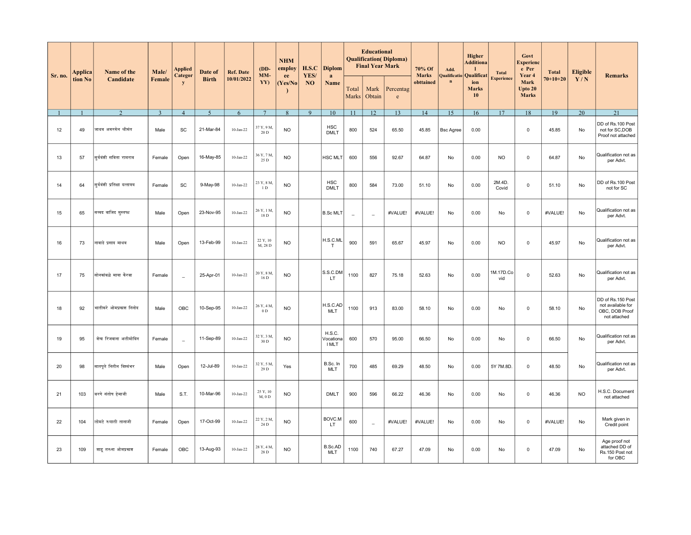| Sr. no. | Applica | Name of the<br>Candidate      | Male/          | Applied<br>Categor | Date of<br><b>Birth</b> | <b>Ref. Date</b> | $(DD-$<br>MM-              | <b>NHM</b><br>employ<br>ee | H.S.C<br>YES/  | <b>Diplom</b><br>a           |                | <b>Educational</b><br><b>Qualification</b> ( <i>Diploma</i> )<br><b>Final Year Mark</b> |                           | 70% Of<br><b>Marks</b> | Add.<br>Qualificatio | Higher<br><b>Additiona</b><br>Qualificat | <b>Total</b>      | Govt<br><b>Experienc</b><br>e Per<br>Year 4 | <b>Total</b> | <b>Eligible</b> | Remarks                                                                  |
|---------|---------|-------------------------------|----------------|--------------------|-------------------------|------------------|----------------------------|----------------------------|----------------|------------------------------|----------------|-----------------------------------------------------------------------------------------|---------------------------|------------------------|----------------------|------------------------------------------|-------------------|---------------------------------------------|--------------|-----------------|--------------------------------------------------------------------------|
|         | tion No |                               | Female         | V                  |                         | 10/01/2022       | YY)                        | Yes/No                     | N <sub>O</sub> | Name                         | Total<br>Marks | Mark<br>Obtain                                                                          | Percentag<br>$\mathbf{e}$ | obttained              | $\mathbf n$          | ion<br><b>Marks</b><br>10                | <b>Experience</b> | Mark<br>Upto 20<br><b>Marks</b>             | $70+10+20$   | Y/N             |                                                                          |
|         |         | $\mathcal{D}$                 | $\overline{3}$ | $\overline{4}$     | 5                       | 6                | $\overline{7}$             | 8                          | 9              | 10                           | 11             | 12                                                                                      | 13                        | 14                     | 15                   | 16                                       | 17                | 18                                          | 19           | 20              | 21                                                                       |
| 12      | 49      | जाधव अमरसेन श्रीमंत           | Male           | SC                 | 21-Mar-84               | $10-Jan-22$      | 37 Y, 9 M,<br>20 D         | <b>NO</b>                  |                | <b>HSC</b><br><b>DMLT</b>    | 800            | 524                                                                                     | 65.50                     | 45.85                  | <b>Bsc Agree</b>     | 0.00                                     |                   | $\mathsf 0$                                 | 45.85        | No              | DD of Rs.100 Post<br>not for SC, DOB<br>Proof not attached               |
| 13      | 57      | सुर्यवंशी सविता रामराव        | Female         | Open               | 16-May-85               | $10$ -Jan-22     | 36 Y, 7 M,<br>25 D         | <b>NO</b>                  |                | <b>HSC MLT</b>               | 600            | 556                                                                                     | 92.67                     | 64.87                  | No                   | 0.00                                     | <b>NO</b>         | $\mathsf 0$                                 | 64.87        | No              | Qualification not as<br>per Advt.                                        |
| 14      | 64      | सुर्यवंशी प्रतिक्षा दत्तात्रय | Female         | SC                 | 9-May-98                | $10-Jan-22$      | 23 Y, 8 M,<br>1 D          | <b>NO</b>                  |                | <b>HSC</b><br><b>DMLT</b>    | 800            | 584                                                                                     | 73.00                     | 51.10                  | No                   | 0.00                                     | 2M.4D.<br>Covid   | $\mathbf 0$                                 | 51.10        | No              | DD of Rs.100 Post<br>not for SC                                          |
| 15      | 65      | सय्यद वाजिद मुस्तफा           | Male           | Open               | 23-Nov-95               | $10-Jan-22$      | 26 Y, 1 M,<br>18 D         | <b>NO</b>                  |                | <b>B.Sc MLT</b>              | $\overline{a}$ | $\overline{a}$                                                                          | #VALUE!                   | #VALUE!                | No                   | 0.00                                     | No                | $\mathsf 0$                                 | #VALUE!      | No              | Qualification not as<br>per Advt.                                        |
| 16      | 73      | नावाडे प्रसाद माधव            | Male           | Open               | 13-Feb-99               | $10-Jan-22$      | 22 Y, 10<br>M, 28 D        | <b>NO</b>                  |                | H.S.C.ML<br>$\mathsf{T}$     | 900            | 591                                                                                     | 65.67                     | 45.97                  | No                   | 0.00                                     | <b>NO</b>         | $\mathbf 0$                                 | 45.97        | No              | Qualification not as<br>per Advt.                                        |
| 17      | 75      | सोनकांबळे माया केरवा          | Female         | $\equiv$           | 25-Apr-01               | $10$ -Jan-22     | 20 Y, 8 M,<br>16 D         | <b>NO</b>                  |                | S.S.C.DM<br>LT               | 1100           | 827                                                                                     | 75.18                     | 52.63                  | No                   | 0.00                                     | M.17D.Co<br>vid   | $\mathsf 0$                                 | 52.63        | No              | Qualification not as<br>per Advt.                                        |
| 18      | 92      | भातीकरे ओमप्रकाश निनोद        | Male           | OBC                | 10-Sep-95               | $10-Jan-22$      | 26 Y, 4 M,<br>$0\ {\rm D}$ | <b>NO</b>                  |                | H.S.C.AD<br><b>MLT</b>       | 1100           | 913                                                                                     | 83.00                     | 58.10                  | <b>No</b>            | 0.00                                     | No                | $\mathbf 0$                                 | 58.10        | No              | DD of Rs.150 Post<br>not available for<br>OBC, DOB Proof<br>not attached |
| 19      | 95      | शेख रिजवाना अलीमोदिन          | Female         | $\sim$             | 11-Sep-89               | 10-Jan-22        | 32 Y, 3 M.<br>30 D         | <b>NO</b>                  |                | H.S.C.<br>Vocationa<br>I MLT | 600            | 570                                                                                     | 95.00                     | 66.50                  | No                   | 0.00                                     | No                | $\mathsf 0$                                 | 66.50        | No              | Qualification not as<br>per Advt.                                        |
| 20      | 98      | सातपूते नितीन विश्वंभर        | Male           | Open               | 12-Jul-89               | $10-Jan-22$      | 32 Y, 5 M,<br>29 D         | Yes                        |                | B.Sc. In<br><b>MLT</b>       | 700            | 485                                                                                     | 69.29                     | 48.50                  | No                   | 0.00                                     | 5Y 7M.8D.         | $\mathbf 0$                                 | 48.50        | No              | Qualification not as<br>per Advt.                                        |
| 21      | 103     | बरगे संतोष हेमाजी             | Male           | S.T.               | 10-Mar-96               | $10-Jan-22$      | 25 Y, 10<br>$M, 0$ D       | <b>NO</b>                  |                | <b>DMLT</b>                  | 900            | 596                                                                                     | 66.22                     | 46.36                  | No                   | 0.00                                     | No                | $\mathsf 0$                                 | 46.36        | <b>NO</b>       | H.S.C. Document<br>not attached                                          |
| 22      | 104     | लोमटे रुपाली तानाजी           | Female         | Open               | 17-Oct-99               | $10$ -Jan-22     | 22 Y, 2 M,<br>24 D         | <b>NO</b>                  |                | BOVC.M<br>LT.                | 600            | $\sim$                                                                                  | #VALUE!                   | #VALUE!                | No                   | 0.00                                     | No                | $\mathsf 0$                                 | #VALUE!      | No              | Mark given in<br>Credit point                                            |
| 23      | 109     | शाह तरुना ओमप्रकाश            | Female         | OBC                | 13-Aug-93               | $10$ -Jan-22     | 28 Y, 4 M,<br>28 D         | <b>NO</b>                  |                | B.Sc.AD<br>MLT               | 1100           | 740                                                                                     | 67.27                     | 47.09                  | No                   | 0.00                                     | No                | $\mathbf 0$                                 | 47.09        | No              | Age proof not<br>attached DD of<br>Rs.150 Post not<br>for OBC            |